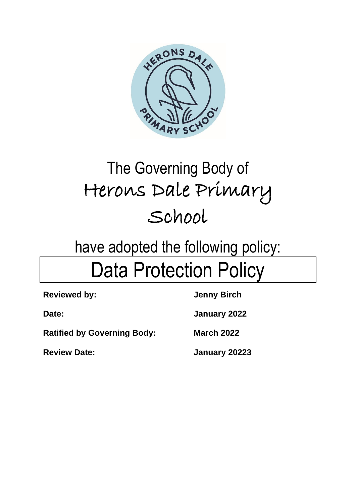

# The Governing Body of Herons Dale Primary School

## have adopted the following policy: Data Protection Policy

| <b>Reviewed by:</b>                | <b>Jenny Birch</b> |
|------------------------------------|--------------------|
| Date:                              | January 2022       |
| <b>Ratified by Governing Body:</b> | <b>March 2022</b>  |
| <b>Review Date:</b>                | January 20223      |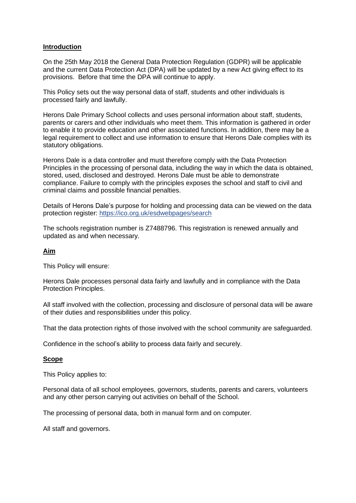#### **Introduction**

On the 25th May 2018 the General Data Protection Regulation (GDPR) will be applicable and the current Data Protection Act (DPA) will be updated by a new Act giving effect to its provisions. Before that time the DPA will continue to apply.

This Policy sets out the way personal data of staff, students and other individuals is processed fairly and lawfully.

Herons Dale Primary School collects and uses personal information about staff, students, parents or carers and other individuals who meet them. This information is gathered in order to enable it to provide education and other associated functions. In addition, there may be a legal requirement to collect and use information to ensure that Herons Dale complies with its statutory obligations.

Herons Dale is a data controller and must therefore comply with the Data Protection Principles in the processing of personal data, including the way in which the data is obtained, stored, used, disclosed and destroyed. Herons Dale must be able to demonstrate compliance. Failure to comply with the principles exposes the school and staff to civil and criminal claims and possible financial penalties.

Details of Herons Dale's purpose for holding and processing data can be viewed on the data protection register:<https://ico.org.uk/esdwebpages/search>

The schools registration number is Z7488796. This registration is renewed annually and updated as and when necessary.

#### **Aim**

This Policy will ensure:

Herons Dale processes personal data fairly and lawfully and in compliance with the Data Protection Principles.

All staff involved with the collection, processing and disclosure of personal data will be aware of their duties and responsibilities under this policy.

That the data protection rights of those involved with the school community are safeguarded.

Confidence in the school's ability to process data fairly and securely.

#### **Scope**

This Policy applies to:

Personal data of all school employees, governors, students, parents and carers, volunteers and any other person carrying out activities on behalf of the School.

The processing of personal data, both in manual form and on computer.

All staff and governors.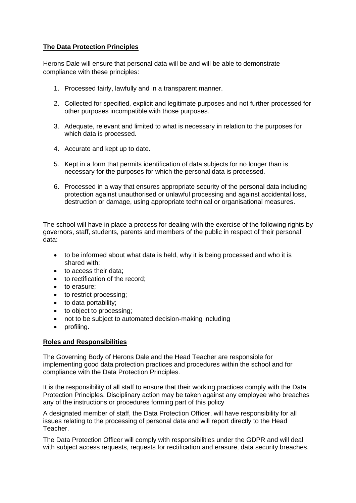## **The Data Protection Principles**

Herons Dale will ensure that personal data will be and will be able to demonstrate compliance with these principles:

- 1. Processed fairly, lawfully and in a transparent manner.
- 2. Collected for specified, explicit and legitimate purposes and not further processed for other purposes incompatible with those purposes.
- 3. Adequate, relevant and limited to what is necessary in relation to the purposes for which data is processed.
- 4. Accurate and kept up to date.
- 5. Kept in a form that permits identification of data subjects for no longer than is necessary for the purposes for which the personal data is processed.
- 6. Processed in a way that ensures appropriate security of the personal data including protection against unauthorised or unlawful processing and against accidental loss, destruction or damage, using appropriate technical or organisational measures.

The school will have in place a process for dealing with the exercise of the following rights by governors, staff, students, parents and members of the public in respect of their personal data:

- to be informed about what data is held, why it is being processed and who it is shared with;
- to access their data;
- to rectification of the record;
- to erasure;
- to restrict processing;
- to data portability;
- to object to processing;
- not to be subject to automated decision-making including
- profiling.

## **Roles and Responsibilities**

The Governing Body of Herons Dale and the Head Teacher are responsible for implementing good data protection practices and procedures within the school and for compliance with the Data Protection Principles.

It is the responsibility of all staff to ensure that their working practices comply with the Data Protection Principles. Disciplinary action may be taken against any employee who breaches any of the instructions or procedures forming part of this policy

A designated member of staff, the Data Protection Officer, will have responsibility for all issues relating to the processing of personal data and will report directly to the Head Teacher.

The Data Protection Officer will comply with responsibilities under the GDPR and will deal with subject access requests, requests for rectification and erasure, data security breaches.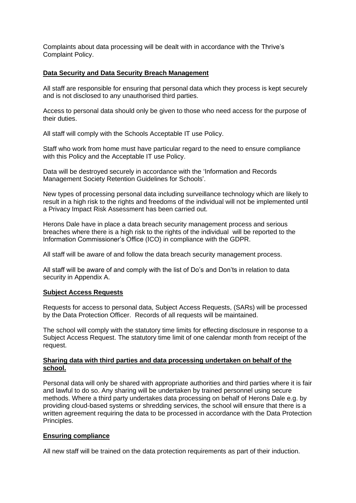Complaints about data processing will be dealt with in accordance with the Thrive's Complaint Policy.

## **Data Security and Data Security Breach Management**

All staff are responsible for ensuring that personal data which they process is kept securely and is not disclosed to any unauthorised third parties.

Access to personal data should only be given to those who need access for the purpose of their duties.

All staff will comply with the Schools Acceptable IT use Policy.

Staff who work from home must have particular regard to the need to ensure compliance with this Policy and the Acceptable IT use Policy.

Data will be destroyed securely in accordance with the 'Information and Records Management Society Retention Guidelines for Schools'.

New types of processing personal data including surveillance technology which are likely to result in a high risk to the rights and freedoms of the individual will not be implemented until a Privacy Impact Risk Assessment has been carried out.

Herons Dale have in place a data breach security management process and serious breaches where there is a high risk to the rights of the individual will be reported to the Information Commissioner's Office (ICO) in compliance with the GDPR.

All staff will be aware of and follow the data breach security management process.

All staff will be aware of and comply with the list of Do's and Don'ts in relation to data security in Appendix A.

## **Subject Access Requests**

Requests for access to personal data, Subject Access Requests, (SARs) will be processed by the Data Protection Officer. Records of all requests will be maintained.

The school will comply with the statutory time limits for effecting disclosure in response to a Subject Access Request. The statutory time limit of one calendar month from receipt of the request.

#### **Sharing data with third parties and data processing undertaken on behalf of the school.**

Personal data will only be shared with appropriate authorities and third parties where it is fair and lawful to do so. Any sharing will be undertaken by trained personnel using secure methods. Where a third party undertakes data processing on behalf of Herons Dale e.g. by providing cloud-based systems or shredding services, the school will ensure that there is a written agreement requiring the data to be processed in accordance with the Data Protection Principles.

## **Ensuring compliance**

All new staff will be trained on the data protection requirements as part of their induction.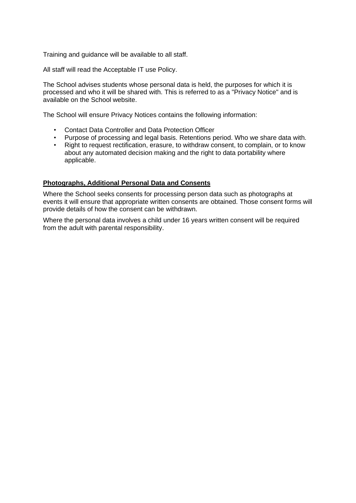Training and guidance will be available to all staff.

All staff will read the Acceptable IT use Policy.

The School advises students whose personal data is held, the purposes for which it is processed and who it will be shared with. This is referred to as a "Privacy Notice" and is available on the School website.

The School will ensure Privacy Notices contains the following information:

- Contact Data Controller and Data Protection Officer
- Purpose of processing and legal basis. Retentions period. Who we share data with.
- Right to request rectification, erasure, to withdraw consent, to complain, or to know about any automated decision making and the right to data portability where applicable.

#### **Photographs, Additional Personal Data and Consents**

Where the School seeks consents for processing person data such as photographs at events it will ensure that appropriate written consents are obtained. Those consent forms will provide details of how the consent can be withdrawn.

Where the personal data involves a child under 16 years written consent will be required from the adult with parental responsibility.